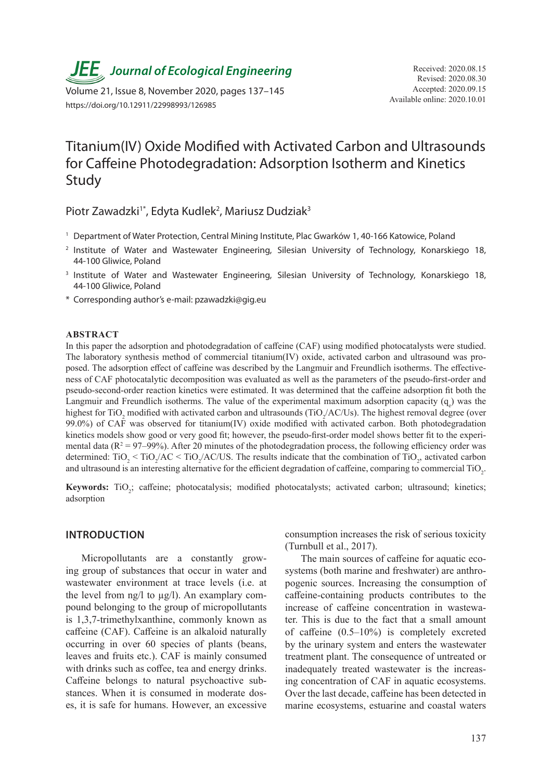**JEE** Journal of Ecological Engineering Received: 2020.08.15

Available online: 2020.10.01 Volume 21, Issue 8, November 2020, pages 137–145 https://doi.org/10.12911/22998993/126985

# Titanium(IV) Oxide Modified with Activated Carbon and Ultrasounds for Caffeine Photodegradation: Adsorption Isotherm and Kinetics Study

Piotr Zawadzki<sup>1\*</sup>, Edyta Kudlek<sup>2</sup>, Mariusz Dudziak<sup>3</sup>

- <sup>1</sup> Department of Water Protection, Central Mining Institute, Plac Gwarków 1, 40-166 Katowice, Poland
- <sup>2</sup> Institute of Water and Wastewater Engineering, Silesian University of Technology, Konarskiego 18, 44-100 Gliwice, Poland
- <sup>3</sup> Institute of Water and Wastewater Engineering, Silesian University of Technology, Konarskiego 18, 44-100 Gliwice, Poland
- \* Corresponding author's e-mail: pzawadzki@gig.eu

#### **ABSTRACT**

In this paper the adsorption and photodegradation of caffeine (CAF) using modified photocatalysts were studied. The laboratory synthesis method of commercial titanium(IV) oxide, activated carbon and ultrasound was proposed. The adsorption effect of caffeine was described by the Langmuir and Freundlich isotherms. The effectiveness of CAF photocatalytic decomposition was evaluated as well as the parameters of the pseudo-first-order and pseudo-second-order reaction kinetics were estimated. It was determined that the caffeine adsorption fit both the Langmuir and Freundlich isotherms. The value of the experimental maximum adsorption capacity  $(q_e)$  was the highest for TiO<sub>2</sub> modified with activated carbon and ultrasounds (TiO<sub>2</sub>/AC/Us). The highest removal degree (over 99.0%) of CAF was observed for titanium(IV) oxide modified with activated carbon. Both photodegradation kinetics models show good or very good fit; however, the pseudo-first-order model shows better fit to the experimental data  $(R^2 = 97-99%)$ . After 20 minutes of the photodegradation process, the following efficiency order was determined:  $TiO_2$  <  $TiO_2/AC$  <  $TiO_2/AC/US$ . The results indicate that the combination of  $TiO_2$ , activated carbon and ultrasound is an interesting alternative for the efficient degradation of caffeine, comparing to commercial TiO<sub>2</sub>.

Keywords: TiO<sub>2</sub>; caffeine; photocatalysis; modified photocatalysts; activated carbon; ultrasound; kinetics; adsorption

# **INTRODUCTION**

Micropollutants are a constantly growing group of substances that occur in water and wastewater environment at trace levels (i.e. at the level from  $\frac{ng}{l}$  to  $\frac{ug}{l}$ . An examplary compound belonging to the group of micropollutants is 1,3,7-trimethylxanthine, commonly known as caffeine (CAF). Caffeine is an alkaloid naturally occurring in over 60 species of plants (beans, leaves and fruits etc.). CAF is mainly consumed with drinks such as coffee, tea and energy drinks. Caffeine belongs to natural psychoactive substances. When it is consumed in moderate doses, it is safe for humans. However, an excessive

consumption increases the risk of serious toxicity (Turnbull et al., 2017).

The main sources of caffeine for aquatic ecosystems (both marine and freshwater) are anthropogenic sources. Increasing the consumption of caffeine-containing products contributes to the increase of caffeine concentration in wastewater. This is due to the fact that a small amount of caffeine (0.5–10%) is completely excreted by the urinary system and enters the wastewater treatment plant. The consequence of untreated or inadequately treated wastewater is the increasing concentration of CAF in aquatic ecosystems. Over the last decade, caffeine has been detected in marine ecosystems, estuarine and coastal waters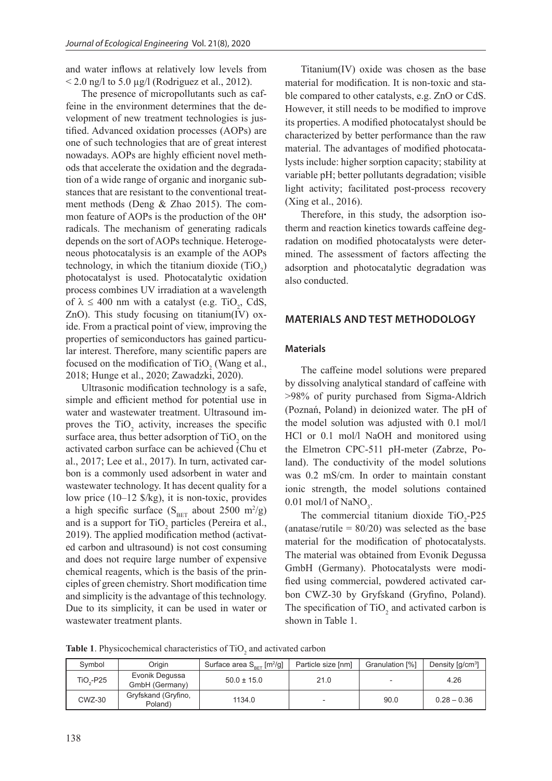and water inflows at relatively low levels from  $\leq$  2.0 ng/l to 5.0 µg/l (Rodriguez et al., 2012).

The presence of micropollutants such as caffeine in the environment determines that the development of new treatment technologies is justified. Advanced oxidation processes (AOPs) are one of such technologies that are of great interest nowadays. AOPs are highly efficient novel methods that accelerate the oxidation and the degradation of a wide range of organic and inorganic substances that are resistant to the conventional treatment methods (Deng & Zhao 2015). The common feature of AOPs is the production of the OH• radicals. The mechanism of generating radicals depends on the sort of AOPs technique. Heterogeneous photocatalysis is an example of the AOPs technology, in which the titanium dioxide  $(T_1O_2)$ photocatalyst is used. Photocatalytic oxidation process combines UV irradiation at a wavelength of  $\lambda \le 400$  nm with a catalyst (e.g. TiO<sub>2</sub>, CdS, ZnO). This study focusing on titanium(IV) oxide. From a practical point of view, improving the properties of semiconductors has gained particular interest. Therefore, many scientific papers are focused on the modification of  $TiO_2$  (Wang et al., 2018; Hunge et al., 2020; Zawadzki, 2020).

Ultrasonic modification technology is a safe, simple and efficient method for potential use in water and wastewater treatment. Ultrasound improves the  $TiO<sub>2</sub>$  activity, increases the specific surface area, thus better adsorption of  $TiO<sub>2</sub>$  on the activated carbon surface can be achieved (Chu et al., 2017; Lee et al., 2017). In turn, activated carbon is a commonly used adsorbent in water and wastewater technology. It has decent quality for a low price (10–12 \$/kg), it is non-toxic, provides a high specific surface  $(S<sub>BET</sub>$  about 2500 m<sup>2</sup>/g) and is a support for  $TiO_2$  particles (Pereira et al., 2019). The applied modification method (activated carbon and ultrasound) is not cost consuming and does not require large number of expensive chemical reagents, which is the basis of the principles of green chemistry. Short modification time and simplicity is the advantage of this technology. Due to its simplicity, it can be used in water or wastewater treatment plants.

Titanium(IV) oxide was chosen as the base material for modification. It is non-toxic and stable compared to other catalysts, e.g. ZnO or CdS. However, it still needs to be modified to improve its properties. A modified photocatalyst should be characterized by better performance than the raw material. The advantages of modified photocatalysts include: higher sorption capacity; stability at variable pH; better pollutants degradation; visible light activity; facilitated post-process recovery (Xing et al., 2016).

Therefore, in this study, the adsorption isotherm and reaction kinetics towards caffeine degradation on modified photocatalysts were determined. The assessment of factors affecting the adsorption and photocatalytic degradation was also conducted.

# **MATERIALS AND TEST METHODOLOGY**

# **Materials**

The caffeine model solutions were prepared by dissolving analytical standard of caffeine with >98% of purity purchased from Sigma-Aldrich (Poznań, Poland) in deionized water. The pH of the model solution was adjusted with 0.1 mol/l HCl or 0.1 mol/l NaOH and monitored using the Elmetron CPC-511 pH-meter (Zabrze, Poland). The conductivity of the model solutions was 0.2 mS/cm. In order to maintain constant ionic strength, the model solutions contained 0.01 mol/l of  $\text{NaNO}_3$ .

The commercial titanium dioxide  $TiO<sub>2</sub>-P25$ (anatase/rutile =  $80/20$ ) was selected as the base material for the modification of photocatalysts. The material was obtained from Evonik Degussa GmbH (Germany). Photocatalysts were modified using commercial, powdered activated carbon CWZ-30 by Gryfskand (Gryfino, Poland). The specification of  $TiO<sub>2</sub>$  and activated carbon is shown in Table 1.

**Table 1.** Physicochemical characteristics of  $TiO<sub>2</sub>$  and activated carbon

| Symbol     | Origin                           | Surface area $S_{\text{ref}}$ [m <sup>2</sup> /g] | Particle size [nm] | Granulation [%] | Density $\left[\frac{q}{cm^3}\right]$ |
|------------|----------------------------------|---------------------------------------------------|--------------------|-----------------|---------------------------------------|
| $TiO2-P25$ | Evonik Degussa<br>GmbH (Germany) | $50.0 \pm 15.0$                                   | 21.0               |                 | 4.26                                  |
| $CWZ-30$   | Gryfskand (Gryfino,<br>Poland)   | 1134.0                                            |                    | 90.0            | $0.28 - 0.36$                         |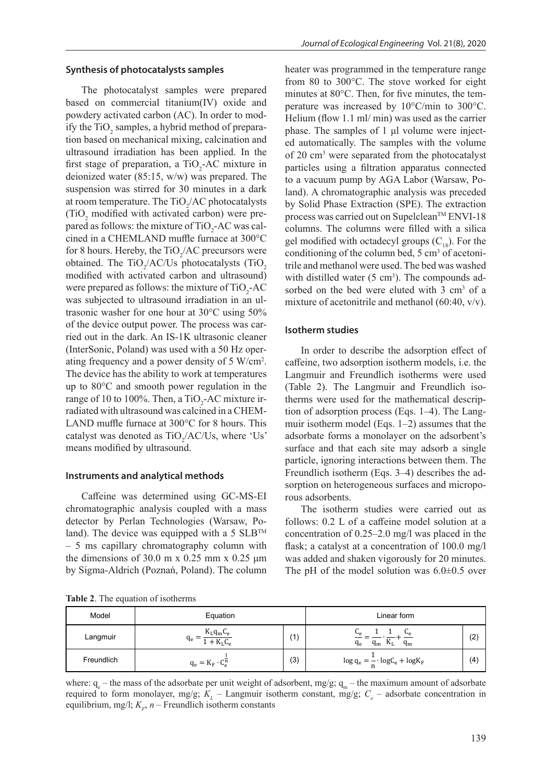## **Synthesis of photocatalysts samples**

The photocatalyst samples were prepared based on commercial titanium(IV) oxide and powdery activated carbon (AC). In order to modify the  $TiO<sub>2</sub>$  samples, a hybrid method of preparation based on mechanical mixing, calcination and ultrasound irradiation has been applied. In the first stage of preparation, a  $TiO_2$ -AC mixture in deionized water (85:15, w/w) was prepared. The suspension was stirred for 30 minutes in a dark at room temperature. The  $\text{TiO}_2/\text{AC}$  photocatalysts  $(TiO<sub>2</sub>$  modified with activated carbon) were prepared as follows: the mixture of  $TiO_2$ -AC was calcined in a CHEMLAND muffle furnace at 300°C for 8 hours. Hereby, the  $TiO_2/AC$  precursors were obtained. The TiO<sub>2</sub>/AC/Us photocatalysts (TiO<sub>2</sub> modified with activated carbon and ultrasound) were prepared as follows: the mixture of  $TiO_2$ -AC was subjected to ultrasound irradiation in an ultrasonic washer for one hour at 30°C using 50% of the device output power. The process was carried out in the dark. An IS-1K ultrasonic cleaner (InterSonic, Poland) was used with a 50 Hz operating frequency and a power density of 5 W/cm<sup>2</sup> . The device has the ability to work at temperatures up to 80°C and smooth power regulation in the range of 10 to 100%. Then, a TiO<sub>2</sub>-AC mixture irradiated with ultrasound was calcined in a CHEM-LAND muffle furnace at 300°C for 8 hours. This catalyst was denoted as  $TiO_2/AC/Us$ , where 'Us' means modified by ultrasound.

#### **Instruments and analytical methods**

Caffeine was determined using GC-MS-EI chromatographic analysis coupled with a mass detector by Perlan Technologies (Warsaw, Poland). The device was equipped with a 5  $SLB^{TM}$ – 5 ms capillary chromatography column with the dimensions of 30.0 m x 0.25 mm x 0.25  $\mu$ m by Sigma-Aldrich (Poznań, Poland). The column heater was programmed in the temperature range from 80 to 300°C. The stove worked for eight minutes at 80°C. Then, for five minutes, the temperature was increased by 10°C/min to 300°C. Helium (flow 1.1 ml/ min) was used as the carrier phase. The samples of 1 μl volume were injected automatically. The samples with the volume of 20 cm3 were separated from the photocatalyst particles using a filtration apparatus connected to a vacuum pump by AGA Labor (Warsaw, Poland). A chromatographic analysis was preceded by Solid Phase Extraction (SPE). The extraction process was carried out on Supelclean<sup>TM</sup> ENVI-18 columns. The columns were filled with a silica gel modified with octadecyl groups  $(C_{18})$ . For the conditioning of the column bed,  $5 \text{ cm}^3$  of acetonitrile and methanol were used. The bed was washed with distilled water  $(5 \text{ cm}^3)$ . The compounds adsorbed on the bed were eluted with 3 cm<sup>3</sup> of a mixture of acetonitrile and methanol (60:40, v/v).

## **Isotherm studies**

In order to describe the adsorption effect of caffeine, two adsorption isotherm models, i.e. the Langmuir and Freundlich isotherms were used (Table 2). The Langmuir and Freundlich isotherms were used for the mathematical description of adsorption process (Eqs. 1–4). The Langmuir isotherm model (Eqs. 1–2) assumes that the adsorbate forms a monolayer on the adsorbent's surface and that each site may adsorb a single particle, ignoring interactions between them. The Freundlich isotherm (Eqs. 3–4) describes the adsorption on heterogeneous surfaces and microporous adsorbents.

The isotherm studies were carried out as follows: 0.2 L of a caffeine model solution at a concentration of 0.25–2.0 mg/l was placed in the flask; a catalyst at a concentration of 100.0 mg/l was added and shaken vigorously for 20 minutes. The pH of the model solution was  $6.0\pm0.5$  over

**Table 2**. The equation of isotherms

| Model      | Equation                        |               | Linear form                                                                          |     |  |
|------------|---------------------------------|---------------|--------------------------------------------------------------------------------------|-----|--|
| Langmuir   | $K_L q_m C_e$<br>Чe<br>$+ KLCe$ | $^{\prime}$ 1 | مت<br>◡▵<br>$q_{m}$<br>$q_e$<br>$\mathbf{N}_{\text{L}}$<br>$\mathbf{q}_{\mathbf{m}}$ | (2) |  |
| Freundlich | $q_e = K_F \cdot C_e^n$         | (3)           | $\log q_e = \frac{1}{n} \cdot \log C_e + \log K_F$                                   | (4) |  |

where:  $q_e$  – the mass of the adsorbate per unit weight of adsorbent, mg/g;  $q_m$  – the maximum amount of adsorbate required to form monolayer, mg/g;  $K<sub>L</sub>$  – Langmuir isotherm constant, mg/g;  $C<sub>e</sub>$  – adsorbate concentration in equilibrium, mg/l;  $K<sub>F</sub>$ ,  $n$  – Freundlich isotherm constants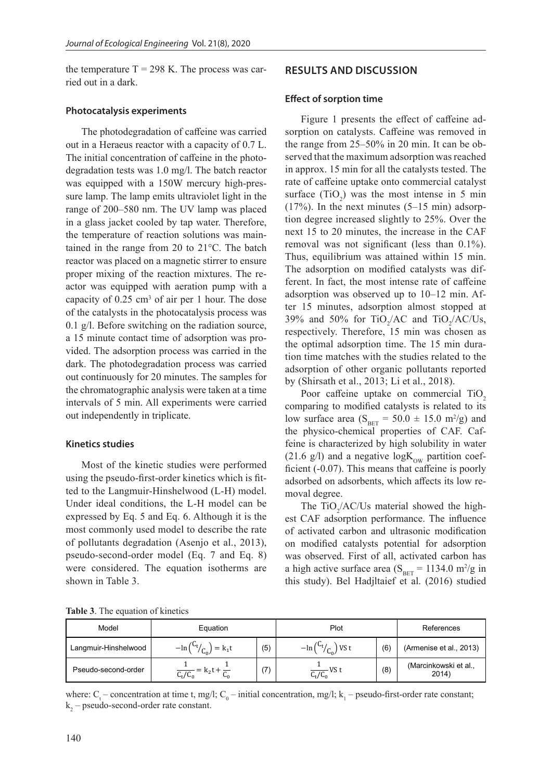the temperature  $T = 298$  K. The process was carried out in a dark.

## **Photocatalysis experiments**

The photodegradation of caffeine was carried out in a Heraeus reactor with a capacity of 0.7 L. The initial concentration of caffeine in the photodegradation tests was 1.0 mg/l. The batch reactor was equipped with a 150W mercury high-pressure lamp. The lamp emits ultraviolet light in the range of 200–580 nm. The UV lamp was placed in a glass jacket cooled by tap water. Therefore, the temperature of reaction solutions was maintained in the range from 20 to 21°C. The batch reactor was placed on a magnetic stirrer to ensure proper mixing of the reaction mixtures. The reactor was equipped with aeration pump with a capacity of  $0.25 \text{ cm}^3$  of air per 1 hour. The dose of the catalysts in the photocatalysis process was 0.1 g/l. Before switching on the radiation source, a 15 minute contact time of adsorption was provided. The adsorption process was carried in the dark. The photodegradation process was carried out continuously for 20 minutes. The samples for the chromatographic analysis were taken at a time intervals of 5 min. All experiments were carried out independently in triplicate.

## **Kinetics studies**

Most of the kinetic studies were performed using the pseudo-first-order kinetics which is fitted to the Langmuir-Hinshelwood (L-H) model. Under ideal conditions, the L-H model can be expressed by Eq. 5 and Eq. 6. Although it is the most commonly used model to describe the rate of pollutants degradation (Asenjo et al., 2013), pseudo-second-order model (Eq. 7 and Eq. 8) were considered. The equation isotherms are shown in Table 3.

# **RESULTS AND DISCUSSION**

#### **Effect of sorption time**

Figure 1 presents the effect of caffeine adsorption on catalysts. Caffeine was removed in the range from 25–50% in 20 min. It can be observed that the maximum adsorption was reached in approx. 15 min for all the catalysts tested. The rate of caffeine uptake onto commercial catalyst surface  $(TiO_2)$  was the most intense in 5 min  $(17%)$ . In the next minutes  $(5-15 \text{ min})$  adsorption degree increased slightly to 25%. Over the next 15 to 20 minutes, the increase in the CAF removal was not significant (less than 0.1%). Thus, equilibrium was attained within 15 min. The adsorption on modified catalysts was different. In fact, the most intense rate of caffeine adsorption was observed up to 10–12 min. After 15 minutes, adsorption almost stopped at 39% and 50% for  $TiO_2/AC$  and  $TiO_2/AC/Us$ , respectively. Therefore, 15 min was chosen as the optimal adsorption time. The 15 min duration time matches with the studies related to the adsorption of other organic pollutants reported by (Shirsath et al., 2013; Li et al., 2018).

Poor caffeine uptake on commercial TiO<sub>2</sub> comparing to modified catalysts is related to its low surface area ( $S<sub>BET</sub> = 50.0 \pm 15.0$  m<sup>2</sup>/g) and the physico-chemical properties of CAF. Caffeine is characterized by high solubility in water (21.6 g/l) and a negative  $logK_{\text{ow}}$  partition coefficient (-0.07). This means that caffeine is poorly adsorbed on adsorbents, which affects its low removal degree.

The  $TiO_2/AC/Us$  material showed the highest CAF adsorption performance. The influence of activated carbon and ultrasonic modification on modified catalysts potential for adsorption was observed. First of all, activated carbon has a high active surface area  $(S<sub>BET</sub> = 1134.0 m<sup>2</sup>/g in$ this study). Bel Hadjltaief et al. (2016) studied

**Table 3**. The equation of kinetics

| Model                | Equation                                     |                | Plot                     |     | References                     |
|----------------------|----------------------------------------------|----------------|--------------------------|-----|--------------------------------|
| Langmuir-Hinshelwood | $\frac{1}{C_{0}}$<br>$=$ $k_1$ t<br>$-\ln ($ | (5)            | $v_{t/}$<br>VS t         | (6) | (Armenise et al., 2013)        |
| Pseudo-second-order  | $-$ = $K_2$<br>$C_{t}/C_{0}$<br>⊾ո           | $\overline{ }$ | $\frac{1}{C_t/C_0}$ VS t | (8) | (Marcinkowski et al.,<br>2014) |

where:  $C_t$  – concentration at time t, mg/l;  $C_0$  – initial concentration, mg/l;  $k_1$  – pseudo-first-order rate constant;  $k_{2}$  – pseudo-second-order rate constant.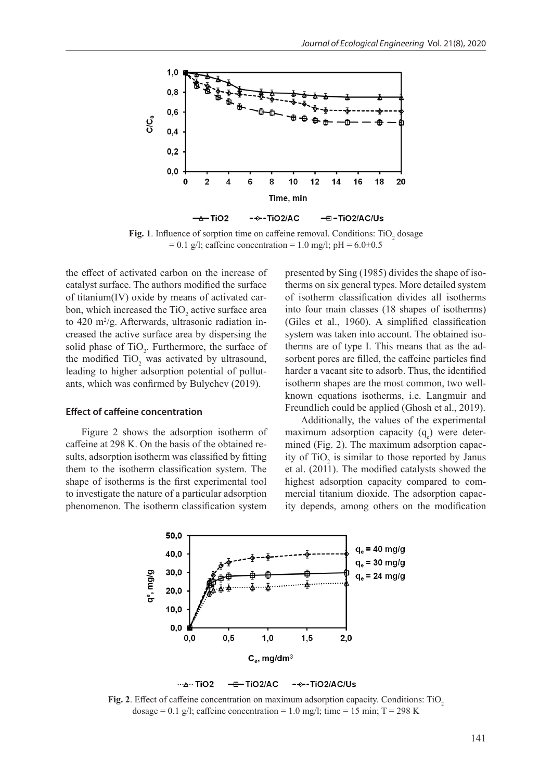

Fig. 1. Influence of sorption time on caffeine removal. Conditions:  $TiO_2$  dosage  $= 0.1$  g/l; caffeine concentration  $= 1.0$  mg/l; pH  $= 6.0 \pm 0.5$ 

the effect of activated carbon on the increase of catalyst surface. The authors modified the surface of titanium(IV) oxide by means of activated carbon, which increased the TiO<sub>2</sub> active surface area to 420 m<sup>2</sup>/g. Afterwards, ultrasonic radiation increased the active surface area by dispersing the solid phase of  $TiO<sub>2</sub>$ . Furthermore, the surface of the modified  $TiO<sub>2</sub>$  was activated by ultrasound, leading to higher adsorption potential of pollutants, which was confirmed by Bulychev (2019).

# **Effect of caffeine concentration**

Figure 2 shows the adsorption isotherm of caffeine at 298 K. On the basis of the obtained results, adsorption isotherm was classified by fitting them to the isotherm classification system. The shape of isotherms is the first experimental tool to investigate the nature of a particular adsorption phenomenon. The isotherm classification system presented by Sing (1985) divides the shape of isotherms on six general types. More detailed system of isotherm classification divides all isotherms into four main classes (18 shapes of isotherms) (Giles et al., 1960). A simplified classification system was taken into account. The obtained isotherms are of type I. This means that as the adsorbent pores are filled, the caffeine particles find harder a vacant site to adsorb. Thus, the identified isotherm shapes are the most common, two wellknown equations isotherms, i.e. Langmuir and Freundlich could be applied (Ghosh et al., 2019).

Additionally, the values of the experimental maximum adsorption capacity  $(q_e)$  were determined (Fig. 2). The maximum adsorption capacity of  $TiO<sub>2</sub>$  is similar to those reported by Janus et al. (2011). The modified catalysts showed the highest adsorption capacity compared to commercial titanium dioxide. The adsorption capacity depends, among others on the modification



**Fig. 2.** Effect of caffeine concentration on maximum adsorption capacity. Conditions: TiO<sub>2</sub> dosage = 0.1 g/l; caffeine concentration = 1.0 mg/l; time = 15 min; T = 298 K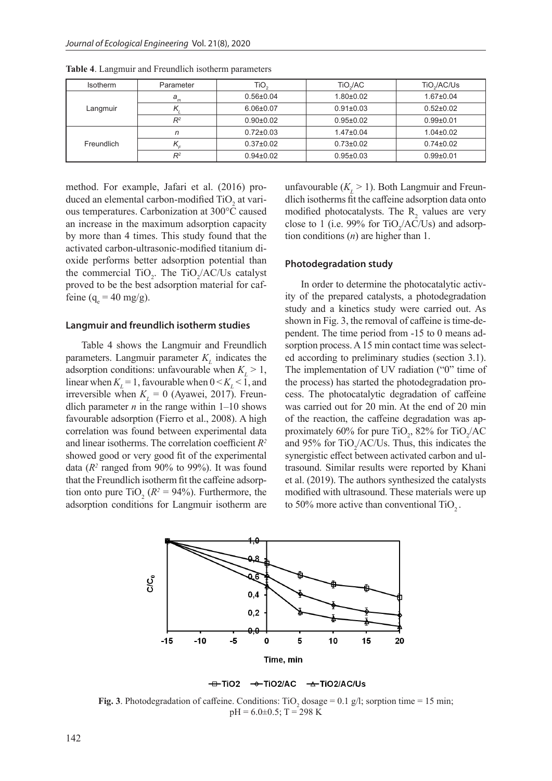| <b>Isotherm</b> | Parameter | TiO,            | TiO./AC         | TiO./AC/Us      |
|-----------------|-----------|-----------------|-----------------|-----------------|
|                 | $a_m$     | $0.56 \pm 0.04$ | $1.80 + 0.02$   | $1.67 \pm 0.04$ |
| Langmuir        |           | $6.06 \pm 0.07$ | $0.91 \pm 0.03$ | $0.52 \pm 0.02$ |
|                 | $R^2$     | $0.90 \pm 0.02$ | $0.95 \pm 0.02$ | $0.99 + 0.01$   |
|                 | n         | $0.72 \pm 0.03$ | $1.47 \pm 0.04$ | $1.04 \pm 0.02$ |
| Freundlich      | $n_F$     | $0.37 \pm 0.02$ | $0.73 \pm 0.02$ | $0.74 \pm 0.02$ |
|                 | $R^2$     | $0.94\pm0.02$   | $0.95 \pm 0.03$ | $0.99 + 0.01$   |

**Table 4**. Langmuir and Freundlich isotherm parameters

method. For example, Jafari et al. (2016) produced an elemental carbon-modified TiO<sub>2</sub> at various temperatures. Carbonization at 300°C caused an increase in the maximum adsorption capacity by more than 4 times. This study found that the activated carbon-ultrasonic-modified titanium dioxide performs better adsorption potential than the commercial  $TiO_2$ . The  $TiO_2/AC/Us$  catalyst proved to be the best adsorption material for caffeine ( $q_e = 40$  mg/g).

## **Langmuir and freundlich isotherm studies**

Table 4 shows the Langmuir and Freundlich parameters. Langmuir parameter  $K<sub>L</sub>$  indicates the adsorption conditions: unfavourable when  $K_L > 1$ , linear when  $K_{\text{L}} = 1$ , favourable when  $0 \le K_{\text{L}} \le 1$ , and irreversible when  $K_L = 0$  (Ayawei, 2017). Freundlich parameter  $n$  in the range within  $1-10$  shows favourable adsorption (Fierro et al., 2008). A high correlation was found between experimental data and linear isotherms. The correlation coefficient *R2* showed good or very good fit of the experimental data  $(R^2 \text{ ranged from } 90\% \text{ to } 99\%).$  It was found that the Freundlich isotherm fit the caffeine adsorption onto pure  $\text{TiO}_2$  ( $R^2 = 94\%$ ). Furthermore, the adsorption conditions for Langmuir isotherm are

unfavourable  $(K_L > 1)$ . Both Langmuir and Freundlich isotherms fit the caffeine adsorption data onto modified photocatalysts. The  $R_2$  values are very close to 1 (i.e. 99% for  $TiO_2/AC/Us$ ) and adsorption conditions (*n*) are higher than 1.

#### **Photodegradation study**

In order to determine the photocatalytic activity of the prepared catalysts, a photodegradation study and a kinetics study were carried out. As shown in Fig. 3, the removal of caffeine is time-dependent. The time period from -15 to 0 means adsorption process. A 15 min contact time was selected according to preliminary studies (section 3.1). The implementation of UV radiation ("0" time of the process) has started the photodegradation process. The photocatalytic degradation of caffeine was carried out for 20 min. At the end of 20 min of the reaction, the caffeine degradation was approximately 60% for pure  $TiO<sub>2</sub>$ , 82% for  $TiO<sub>2</sub>/AC$ and 95% for  $TiO_2/AC/Us$ . Thus, this indicates the synergistic effect between activated carbon and ultrasound. Similar results were reported by Khani et al. (2019). The authors synthesized the catalysts modified with ultrasound. These materials were up to 50% more active than conventional  $TiO<sub>2</sub>$ .





**Fig. 3**. Photodegradation of caffeine. Conditions:  $TiO_2$  dosage = 0.1 g/l; sorption time = 15 min;  $pH = 6.0 \pm 0.5$ ; T = 298 K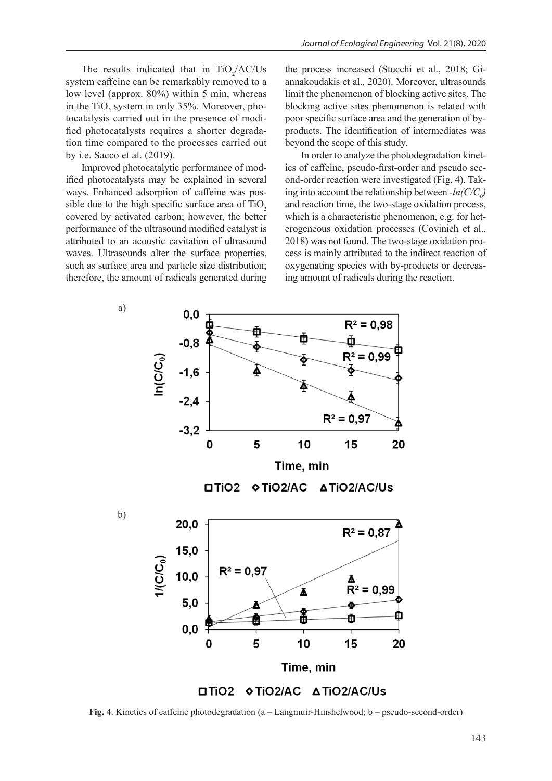The results indicated that in  $TiO_2/AC/Us$ system caffeine can be remarkably removed to a low level (approx. 80%) within 5 min, whereas in the  $TiO<sub>2</sub>$  system in only 35%. Moreover, photocatalysis carried out in the presence of modified photocatalysts requires a shorter degradation time compared to the processes carried out by i.e. Sacco et al. (2019).

Improved photocatalytic performance of modified photocatalysts may be explained in several ways. Enhanced adsorption of caffeine was possible due to the high specific surface area of TiO<sub>2</sub> covered by activated carbon; however, the better performance of the ultrasound modified catalyst is attributed to an acoustic cavitation of ultrasound waves. Ultrasounds alter the surface properties, such as surface area and particle size distribution; therefore, the amount of radicals generated during the process increased (Stucchi et al., 2018; Giannakoudakis et al., 2020). Moreover, ultrasounds limit the phenomenon of blocking active sites. The blocking active sites phenomenon is related with poor specific surface area and the generation of byproducts. The identification of intermediates was beyond the scope of this study.

In order to analyze the photodegradation kinetics of caffeine, pseudo-first-order and pseudo second-order reaction were investigated (Fig. 4). Taking into account the relationship between  $-ln(C/C_0)$ and reaction time, the two-stage oxidation process, which is a characteristic phenomenon, e.g. for heterogeneous oxidation processes (Covinich et al., 2018) was not found. The two-stage oxidation process is mainly attributed to the indirect reaction of oxygenating species with by-products or decreasing amount of radicals during the reaction.



**Fig. 4**. Kinetics of caffeine photodegradation (a – Langmuir-Hinshelwood; b – pseudo-second-order)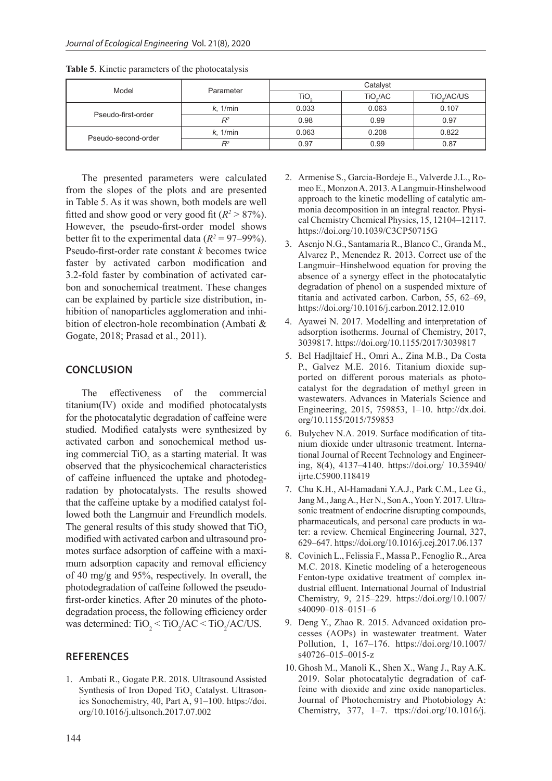| Model               | Parameter | Catalyst         |                      |                         |  |
|---------------------|-----------|------------------|----------------------|-------------------------|--|
|                     |           | TiO <sub>2</sub> | TiO <sub>2</sub> /AC | TiO <sub>2</sub> /AC/US |  |
| Pseudo-first-order  | k. 1/min  | 0.033            | 0.063                | 0.107                   |  |
|                     | $R^2$     | 0.98             | 0.99                 | 0.97                    |  |
|                     | k. 1/min  | 0.063            | 0.208                | 0.822                   |  |
| Pseudo-second-order | $R^2$     | 0.97             | 0.99                 | 0.87                    |  |

**Table 5**. Kinetic parameters of the photocatalysis

The presented parameters were calculated from the slopes of the plots and are presented in Table 5. As it was shown, both models are well fitted and show good or very good fit  $(R^2 > 87\%)$ . However, the pseudo-first-order model shows better fit to the experimental data  $(R^2 = 97-99\%)$ . Pseudo-first-order rate constant *k* becomes twice faster by activated carbon modification and 3.2-fold faster by combination of activated carbon and sonochemical treatment. These changes can be explained by particle size distribution, inhibition of nanoparticles agglomeration and inhibition of electron-hole recombination (Ambati & Gogate, 2018; Prasad et al., 2011).

# **CONCLUSION**

The effectiveness of the commercial titanium(IV) oxide and modified photocatalysts for the photocatalytic degradation of caffeine were studied. Modified catalysts were synthesized by activated carbon and sonochemical method using commercial  $TiO<sub>2</sub>$  as a starting material. It was observed that the physicochemical characteristics of caffeine influenced the uptake and photodegradation by photocatalysts. The results showed that the caffeine uptake by a modified catalyst followed both the Langmuir and Freundlich models. The general results of this study showed that  $TiO<sub>2</sub>$ modified with activated carbon and ultrasound promotes surface adsorption of caffeine with a maximum adsorption capacity and removal efficiency of 40 mg/g and 95%, respectively. In overall, the photodegradation of caffeine followed the pseudofirst-order kinetics. After 20 minutes of the photodegradation process, the following efficiency order was determined:  $TiO_2 < TiO_2/AC < TiO_2/AC/US$ .

# **REFERENCES**

1. Ambati R., Gogate P.R. 2018. Ultrasound Assisted Synthesis of Iron Doped TiO<sub>2</sub> Catalyst. Ultrasonics Sonochemistry, 40, Part A, 91–100. https://doi. org/10.1016/j.ultsonch.2017.07.002

- 2. Armenise S., Garcia-Bordeje E., Valverde J.L., Romeo E., Monzon A. 2013. A Langmuir-Hinshelwood approach to the kinetic modelling of catalytic ammonia decomposition in an integral reactor. Physical Chemistry Chemical Physics, 15, 12104–12117. https://doi.org/10.1039/C3CP50715G
- 3. Asenjo N.G., Santamaria R., Blanco C., Granda M., Alvarez P., Menendez R. 2013. Correct use of the Langmuir–Hinshelwood equation for proving the absence of a synergy effect in the photocatalytic degradation of phenol on a suspended mixture of titania and activated carbon. Carbon, 55, 62–69, https://doi.org/10.1016/j.carbon.2012.12.010
- 4. Ayawei N. 2017. Modelling and interpretation of adsorption isotherms. Journal of Chemistry, 2017, 3039817. https://doi.org/10.1155/2017/3039817
- 5. Bel Hadjltaief H., Omri A., Zina M.B., Da Costa P., Galvez M.E. 2016. Titanium dioxide supported on different porous materials as photocatalyst for the degradation of methyl green in wastewaters. Advances in Materials Science and Engineering, 2015, 759853, 1–10. http://dx.doi. org/10.1155/2015/759853
- 6. Bulychev N.A. 2019. Surface modification of titanium dioxide under ultrasonic treatment. International Journal of Recent Technology and Engineering, 8(4), 4137–4140. https://doi.org/ 10.35940/ ijrte.C5900.118419
- 7. Chu K.H., Al-Hamadani Y.A.J., Park C.M., Lee G., Jang M., Jang A., Her N., Son A., Yoon Y. 2017. Ultrasonic treatment of endocrine disrupting compounds, pharmaceuticals, and personal care products in water: a review. Chemical Engineering Journal, 327, 629–647. https://doi.org/10.1016/j.cej.2017.06.137
- 8. Covinich L., Felissia F., Massa P., Fenoglio R., Area M.C. 2018. Kinetic modeling of a heterogeneous Fenton-type oxidative treatment of complex industrial effluent. International Journal of Industrial Chemistry, 9, 215–229. https://doi.org/10.1007/ s40090–018–0151–6
- 9. Deng Y., Zhao R. 2015. Advanced oxidation processes (AOPs) in wastewater treatment. Water Pollution, 1, 167–176. https://doi.org/10.1007/ s40726–015–0015-z
- 10. Ghosh M., Manoli K., Shen X., Wang J., Ray A.K. 2019. Solar photocatalytic degradation of caffeine with dioxide and zinc oxide nanoparticles. Journal of Photochemistry and Photobiology A: Chemistry, 377, 1–7. ttps://doi.org/10.1016/j.